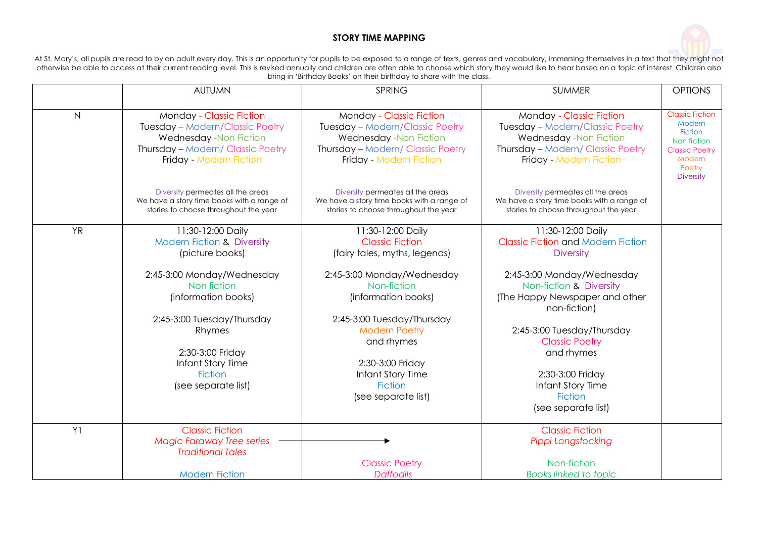## **STORY TIME MAPPING**



At St. Mary's, all pupils are read to by an adult every day. This is an opportunity for pupils to be exposed to a range of texts, genres and vocabulary, immersing themselves in a text that they might not otherwise be able to access at their current reading level. This is revised annually and children are often able to choose which story they would like to hear based on a topic of interest. Children also otherwise be able t bring in 'Birthday Books' on their birthday to share with the class.

|                | <b>AUTUMN</b>                                                                                                                                                                                                                                                               | SPRING                                                                                                                                                                                                                                                                                                 | <b>SUMMER</b>                                                                                                                                                                                                                                                                                                                                        | <b>OPTIONS</b>                                                                                                                     |
|----------------|-----------------------------------------------------------------------------------------------------------------------------------------------------------------------------------------------------------------------------------------------------------------------------|--------------------------------------------------------------------------------------------------------------------------------------------------------------------------------------------------------------------------------------------------------------------------------------------------------|------------------------------------------------------------------------------------------------------------------------------------------------------------------------------------------------------------------------------------------------------------------------------------------------------------------------------------------------------|------------------------------------------------------------------------------------------------------------------------------------|
|                |                                                                                                                                                                                                                                                                             |                                                                                                                                                                                                                                                                                                        |                                                                                                                                                                                                                                                                                                                                                      |                                                                                                                                    |
| N              | Monday - Classic Fiction<br>Tuesday - Modern/Classic Poetry<br>Wednesday -Non Fiction<br>Thursday - Modern/ Classic Poetry<br>Friday - Modern Fiction                                                                                                                       | Monday - Classic Fiction<br>Tuesday - Modern/Classic Poetry<br>Wednesday -Non Fiction<br>Thursday - Modern/ Classic Poetry<br>Friday - Modern Fiction                                                                                                                                                  | Monday - Classic Fiction<br>Tuesday - Modern/Classic Poetry<br>Wednesday -Non Fiction<br>Thursday - Modern/ Classic Poetry<br>Friday - Modern Fiction                                                                                                                                                                                                | <b>Classic Fiction</b><br>Modern<br><b>Fiction</b><br>Non fiction<br><b>Classic Poetry</b><br>Modern<br>Poetry<br><b>Diversity</b> |
|                | Diversity permeates all the areas<br>We have a story time books with a range of<br>stories to choose throughout the year                                                                                                                                                    | Diversity permeates all the areas<br>We have a story time books with a range of<br>stories to choose throughout the year                                                                                                                                                                               | Diversity permeates all the areas<br>We have a story time books with a range of<br>stories to choose throughout the year                                                                                                                                                                                                                             |                                                                                                                                    |
| <b>YR</b>      | 11:30-12:00 Daily<br><b>Modern Fiction &amp; Diversity</b><br>(picture books)<br>2:45-3:00 Monday/Wednesday<br>Non fiction<br>(information books)<br>2:45-3:00 Tuesday/Thursday<br>Rhymes<br>2:30-3:00 Friday<br>Infant Story Time<br><b>Fiction</b><br>(see separate list) | 11:30-12:00 Daily<br><b>Classic Fiction</b><br>(fairy tales, myths, legends)<br>2:45-3:00 Monday/Wednesday<br>Non-fiction<br>(information books)<br>2:45-3:00 Tuesday/Thursday<br><b>Modern Poetry</b><br>and rhymes<br>2:30-3:00 Friday<br>Infant Story Time<br><b>Fiction</b><br>(see separate list) | 11:30-12:00 Daily<br><b>Classic Fiction and Modern Fiction</b><br><b>Diversity</b><br>2:45-3:00 Monday/Wednesday<br>Non-fiction & Diversity<br>(The Happy Newspaper and other<br>non-fiction)<br>2:45-3:00 Tuesday/Thursday<br><b>Classic Poetry</b><br>and rhymes<br>2:30-3:00 Friday<br>Infant Story Time<br><b>Fiction</b><br>(see separate list) |                                                                                                                                    |
| Y <sub>1</sub> | <b>Classic Fiction</b><br><b>Magic Faraway Tree series</b><br><b>Traditional Tales</b>                                                                                                                                                                                      | <b>Classic Poetry</b>                                                                                                                                                                                                                                                                                  | <b>Classic Fiction</b><br>Pippi Longstocking<br>Non-fiction                                                                                                                                                                                                                                                                                          |                                                                                                                                    |
|                | <b>Modern Fiction</b>                                                                                                                                                                                                                                                       | <b>Daffodils</b>                                                                                                                                                                                                                                                                                       | Books linked to topic                                                                                                                                                                                                                                                                                                                                |                                                                                                                                    |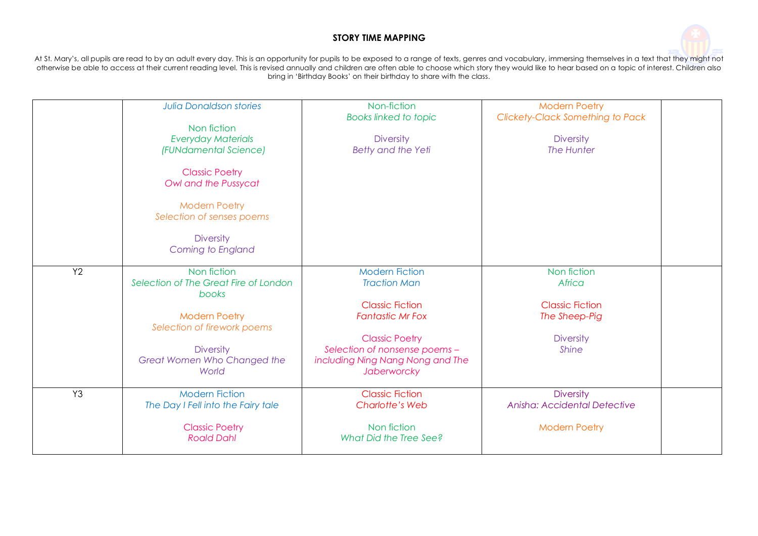## **STORY TIME MAPPING**



At St. Mary's, all pupils are read to by an adult every day. This is an opportunity for pupils to be exposed to a range of texts, genres and vocabulary, immersing themselves in a text that they might not otherwise be able to access at their current reading level. This is revised annually and children are often able to choose which story they would like to hear based on a topic of interest. Children also bring in 'Birthday Books' on their birthday to share with the class.

| <b>Diversity</b><br>Coming to England<br>Y2<br>Non fiction<br><b>Modern Fiction</b><br>Non fiction<br>Selection of The Great Fire of London<br>Africa<br><b>Traction Man</b><br>books<br><b>Classic Fiction</b><br><b>Classic Fiction</b><br><b>Modern Poetry</b><br><b>Fantastic Mr Fox</b><br>The Sheep-Pig<br>Selection of firework poems<br><b>Classic Poetry</b><br><b>Diversity</b><br><b>Diversity</b><br>Selection of nonsense poems -<br><b>Shine</b><br>Great Women Who Changed the<br>including Ning Nang Nong and The<br>World<br>Jaberworcky<br>Y3<br><b>Modern Fiction</b><br><b>Classic Fiction</b><br><b>Diversity</b><br>Anisha: Accidental Detective<br>The Day I Fell into the Fairy tale<br><b>Charlotte's Web</b> | <b>Julia Donaldson stories</b><br>Non fiction<br><b>Everyday Materials</b><br>(FUNdamental Science)<br><b>Classic Poetry</b><br>Owl and the Pussycat<br><b>Modern Poetry</b> | Non-fiction<br>Books linked to topic<br><b>Diversity</b><br>Betty and the Yeti | <b>Modern Poetry</b><br><b>Clickety-Clack Something to Pack</b><br><b>Diversity</b><br>The Hunter |  |
|----------------------------------------------------------------------------------------------------------------------------------------------------------------------------------------------------------------------------------------------------------------------------------------------------------------------------------------------------------------------------------------------------------------------------------------------------------------------------------------------------------------------------------------------------------------------------------------------------------------------------------------------------------------------------------------------------------------------------------------|------------------------------------------------------------------------------------------------------------------------------------------------------------------------------|--------------------------------------------------------------------------------|---------------------------------------------------------------------------------------------------|--|
|                                                                                                                                                                                                                                                                                                                                                                                                                                                                                                                                                                                                                                                                                                                                        | Selection of senses poems                                                                                                                                                    |                                                                                |                                                                                                   |  |
|                                                                                                                                                                                                                                                                                                                                                                                                                                                                                                                                                                                                                                                                                                                                        |                                                                                                                                                                              |                                                                                |                                                                                                   |  |
|                                                                                                                                                                                                                                                                                                                                                                                                                                                                                                                                                                                                                                                                                                                                        |                                                                                                                                                                              |                                                                                |                                                                                                   |  |
| <b>Classic Poetry</b><br>Non fiction<br><b>Modern Poetry</b><br><b>Roald Dahl</b><br>What Did the Tree See?                                                                                                                                                                                                                                                                                                                                                                                                                                                                                                                                                                                                                            |                                                                                                                                                                              |                                                                                |                                                                                                   |  |